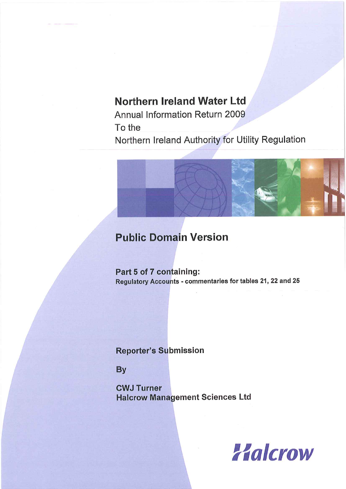# **Northern Ireland Water Ltd**

Annual Information Return 2009 To the Northern Ireland Authority for Utility Regulation



# **Public Domain Version**

Part 5 of 7 containing: Regulatory Accounts - commentaries for tables 21, 22 and 25

# **Reporter's Submission**

**By** 

**CWJ Turner Halcrow Management Sciences Ltd** 

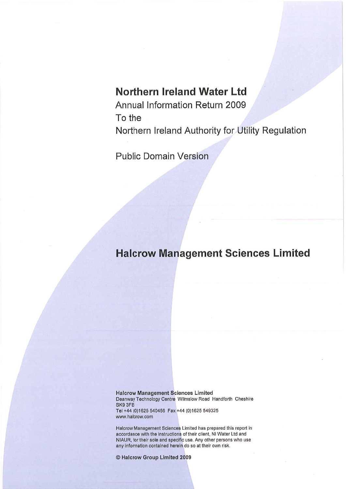# Northern Ireland Water Ltd

Annual Information Return 2009 To the Northern Ireland Authority for Utility Regulation

**Public Domain Version** 

# **Halcrow Management Sciences Limited**

**Halcrow Management Sciences Limited** Deanway Technology Centre Wilmslow Road Handforth Cheshire SK9 3FB Tel +44 (0)1625 540456 Fax +44 (0)1625 549325 www.halcrow.com

Halcrow Management Sciences Limited has prepared this report in accordance with the instructions of their client, NI Water Ltd and NIAUR, for their sole and specific use. Any other persons who use any information contained herein do so at their own risk.

© Halcrow Group Limited 2009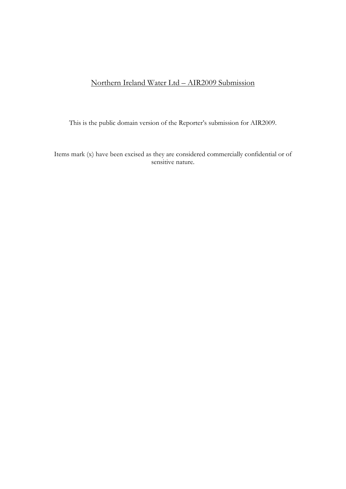# Northern Ireland Water Ltd – AIR2009 Submission

This is the public domain version of the Reporter's submission for AIR2009.

Items mark (x) have been excised as they are considered commercially confidential or of sensitive nature.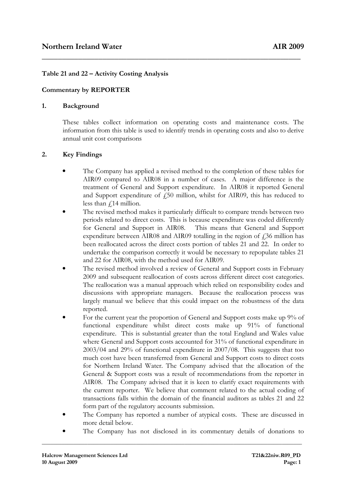# Table 21 and 22 – Activity Costing Analysis

# Commentary by REPORTER

#### 1. Background

These tables collect information on operating costs and maintenance costs. The information from this table is used to identify trends in operating costs and also to derive annual unit cost comparisons

\_\_\_\_\_\_\_\_\_\_\_\_\_\_\_\_\_\_\_\_\_\_\_\_\_\_\_\_\_\_\_\_\_\_\_\_\_\_\_\_\_\_\_\_\_\_\_\_\_\_\_\_\_\_\_\_\_\_\_\_\_\_\_\_

### 2. Key Findings

- The Company has applied a revised method to the completion of these tables for AIR09 compared to AIR08 in a number of cases. A major difference is the treatment of General and Support expenditure. In AIR08 it reported General and Support expenditure of  $\sqrt{250}$  million, whilst for AIR09, this has reduced to less than  $\sqrt{14}$  million.
- The revised method makes it particularly difficult to compare trends between two periods related to direct costs. This is because expenditure was coded differently for General and Support in AIR08. This means that General and Support expenditure between AIR08 and AIR09 totalling in the region of  $\ddot{\text{f}}$  36 million has been reallocated across the direct costs portion of tables 21 and 22. In order to undertake the comparison correctly it would be necessary to repopulate tables 21 and 22 for AIR08, with the method used for AIR09.
- The revised method involved a review of General and Support costs in February 2009 and subsequent reallocation of costs across different direct cost categories. The reallocation was a manual approach which relied on responsibility codes and discussions with appropriate managers. Because the reallocation process was largely manual we believe that this could impact on the robustness of the data reported.
- For the current year the proportion of General and Support costs make up 9% of functional expenditure whilst direct costs make up 91% of functional expenditure. This is substantial greater than the total England and Wales value where General and Support costs accounted for 31% of functional expenditure in 2003/04 and 29% of functional expenditure in 2007/08. This suggests that too much cost have been transferred from General and Support costs to direct costs for Northern Ireland Water. The Company advised that the allocation of the General & Support costs was a result of recommendations from the reporter in AIR08. The Company advised that it is keen to clarify exact requirements with the current reporter. We believe that comment related to the actual coding of transactions falls within the domain of the financial auditors as tables 21 and 22 form part of the regulatory accounts submission.
- The Company has reported a number of atypical costs. These are discussed in more detail below.
- The Company has not disclosed in its commentary details of donations to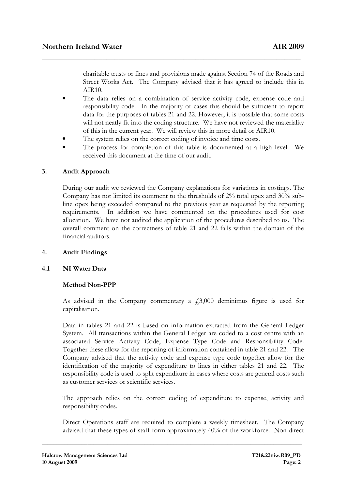charitable trusts or fines and provisions made against Section 74 of the Roads and Street Works Act. The Company advised that it has agreed to include this in AIR10.

The data relies on a combination of service activity code, expense code and responsibility code. In the majority of cases this should be sufficient to report data for the purposes of tables 21 and 22. However, it is possible that some costs will not neatly fit into the coding structure. We have not reviewed the materiality of this in the current year. We will review this in more detail or AIR10.

\_\_\_\_\_\_\_\_\_\_\_\_\_\_\_\_\_\_\_\_\_\_\_\_\_\_\_\_\_\_\_\_\_\_\_\_\_\_\_\_\_\_\_\_\_\_\_\_\_\_\_\_\_\_\_\_\_\_\_\_\_\_\_\_

- The system relies on the correct coding of invoice and time costs.
- The process for completion of this table is documented at a high level. We received this document at the time of our audit.

# 3. Audit Approach

During our audit we reviewed the Company explanations for variations in costings. The Company has not limited its comment to the thresholds of 2% total opex and 30% subline opex being exceeded compared to the previous year as requested by the reporting requirements. In addition we have commented on the procedures used for cost allocation. We have not audited the application of the procedures described to us. The overall comment on the correctness of table 21 and 22 falls within the domain of the financial auditors.

### 4. Audit Findings

### 4.1 NI Water Data

# Method Non-PPP

As advised in the Company commentary a  $\dot{\rm E}$ , 3,000 deminimus figure is used for capitalisation.

Data in tables 21 and 22 is based on information extracted from the General Ledger System. All transactions within the General Ledger are coded to a cost centre with an associated Service Activity Code, Expense Type Code and Responsibility Code. Together these allow for the reporting of information contained in table 21 and 22. The Company advised that the activity code and expense type code together allow for the identification of the majority of expenditure to lines in either tables 21 and 22. The responsibility code is used to split expenditure in cases where costs are general costs such as customer services or scientific services.

The approach relies on the correct coding of expenditure to expense, activity and responsibility codes.

Direct Operations staff are required to complete a weekly timesheet. The Company advised that these types of staff form approximately 40% of the workforce. Non direct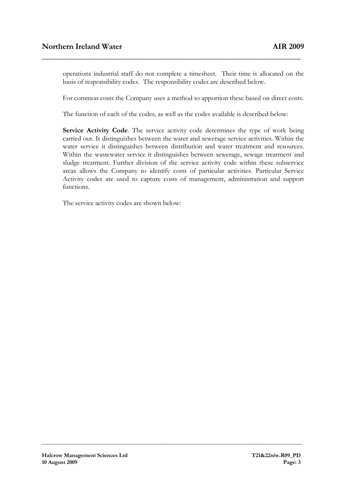operations industrial staff do not complete a timesheet. Their time is allocated on the basis of responsibility codes. The responsibility codes are described below.

For common costs the Company uses a method to apportion these based on direct costs.

The function of each of the codes, as well as the codes available is described below:

\_\_\_\_\_\_\_\_\_\_\_\_\_\_\_\_\_\_\_\_\_\_\_\_\_\_\_\_\_\_\_\_\_\_\_\_\_\_\_\_\_\_\_\_\_\_\_\_\_\_\_\_\_\_\_\_\_\_\_\_\_\_\_\_

Service Activity Code. The service activity code determines the type of work being carried out. It distinguishes between the water and sewerage service activities. Within the water service it distinguishes between distribution and water treatment and resources. Within the wastewater service it distinguishes between sewerage, sewage treatment and sludge treatment. Further division of the service activity code within these subservice areas allows the Company to identify costs of particular activities. Particular Service Activity codes are used to capture costs of management, administration and support functions.

**\_\_\_\_\_\_\_\_\_\_\_\_\_\_\_\_\_\_\_\_\_\_\_\_\_\_\_\_\_\_\_\_\_\_\_\_\_\_\_\_\_\_\_\_\_\_\_\_\_\_\_\_\_\_\_\_\_\_\_\_\_\_\_\_\_\_\_\_\_\_\_\_\_\_\_\_\_\_\_\_\_\_\_\_\_\_\_\_\_\_\_** 

The service activity codes are shown below: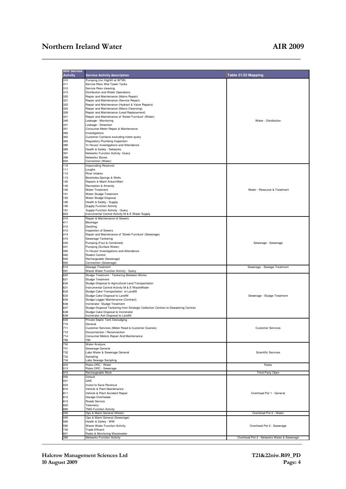| <b>NIW Service</b><br><b>Activity</b>  | <b>Service Activity description</b>                                               | Table 21/22 Mapping                        |
|----------------------------------------|-----------------------------------------------------------------------------------|--------------------------------------------|
| 310                                    | Pumping (Inc Highlift at WTW)                                                     |                                            |
| 311                                    | Service Resv Wat Tower Tanks                                                      |                                            |
| 312                                    | Service Resv cleaning                                                             |                                            |
|                                        |                                                                                   |                                            |
| 313                                    | Distribution and Water Operations                                                 |                                            |
| 320                                    | Repair and Maintenance (Mains Repair)                                             |                                            |
| 321                                    | Repair and Maintenance (Service Repair)                                           |                                            |
| 322                                    | Repair and Maintenance (Hydrant & Valve Repairs)                                  |                                            |
| 324                                    | Repair and Maintenance (Mains Cleansing)                                          |                                            |
| 326                                    | Repair and Maintenance (Lead Replacement)                                         |                                            |
| 331                                    | Repair and Maintenance of 'Street Furniture' (Water)                              |                                            |
| 340                                    | Leakage - Monitoring                                                              | Water - Distribution                       |
| 341                                    | Leakage - Detection                                                               |                                            |
| 351                                    | Consumer Meter Repair & Maintenance                                               |                                            |
| 360                                    | Investigations                                                                    |                                            |
| 362                                    | Customer Contacts excluding meter query                                           |                                            |
| 363                                    | Regulatory Plumbing Inspection                                                    |                                            |
| 380                                    | 'In House' Investigations and Attendance                                          |                                            |
| 385                                    | Health & Safety - Networks                                                        |                                            |
| 391                                    | Networks Function Activity -Query                                                 |                                            |
| 399                                    | Networks Stores                                                                   |                                            |
| 920                                    | Connection (Water)                                                                |                                            |
| 110                                    | Impounding Reservoir                                                              |                                            |
|                                        |                                                                                   |                                            |
| 111<br>112                             | Loughs                                                                            |                                            |
|                                        | River Intakes                                                                     |                                            |
| 113                                    | Boreholes, Springs & Wells                                                        |                                            |
| 120                                    | Repairs & Maint A/duct/Main                                                       |                                            |
| 140                                    | Recreation & Amenity                                                              |                                            |
| 150                                    | <b>Water Treatment</b>                                                            | Water - Resource & Treatment               |
| 151                                    | Water Sludge Treatment                                                            |                                            |
| 152                                    | Water Sludge Disposal                                                             |                                            |
| 185                                    | Health & Safety - Supply                                                          |                                            |
| 190                                    | <b>Supply Function Activity</b>                                                   |                                            |
| 191                                    | Supply Function Activity - Query                                                  |                                            |
| 822                                    | Instrumental Control Activity M & E Water Supply                                  |                                            |
| 410                                    | Repair & Maintenance of Sewers                                                    |                                            |
| 411                                    | Blockage                                                                          |                                            |
| 412                                    | Desilting                                                                         |                                            |
| 413                                    | Inspection of Sewers                                                              |                                            |
| 414                                    | Repair and Maintenance of 'Street Furniture' (Sewerage)                           |                                            |
| 415                                    | Sewerage Tankering                                                                |                                            |
| 430                                    | Pumping (Foul & Combined)                                                         | Sewerage - Sewerage                        |
| 431                                    | Pumping (Surface Water)                                                           |                                            |
| 460                                    | 'In House' Investigations and Attendance                                          |                                            |
| 462                                    | Rodent Control                                                                    |                                            |
| 940                                    |                                                                                   |                                            |
| 950                                    | Rechargeable (Sewerage)<br>Connection (Sewerage)                                  |                                            |
| 510                                    | Sewage Treatment                                                                  | Sewerage - Sewage Treatment                |
| 591                                    | Waste Water Function Activity - Query                                             |                                            |
| 620                                    | Sludge Treatment - Tankering Between Works                                        |                                            |
| 621                                    | Sludge Treatment                                                                  |                                            |
| 630                                    | Sludge Disposal to Agricultural Land Transportation                               |                                            |
| 631                                    |                                                                                   |                                            |
| 632                                    | Instrumental Control Activity M & E WasteWater                                    |                                            |
|                                        | Sludge Cake Transportation to Landfill                                            |                                            |
| 633                                    | Sludge Cake Disposal to Landfill                                                  | Sewerage - Sludge Treatment                |
| 635                                    | Sludge Logger Maintenance (Contract)                                              |                                            |
| 636                                    | Incinerator Sludge Treatment                                                      |                                            |
| 637                                    | Sludge Disposal Tankering from Strategic Collection Centres to Dewatering Centres |                                            |
| 638                                    | Sludge Cake Disposal to Incinerator                                               |                                            |
| 639                                    | Incinerator Ash Disposal to Landfill                                              |                                            |
| 640                                    | Private Septic Tank Desludging                                                    |                                            |
| 710                                    | General                                                                           |                                            |
| 711                                    | Customer Services (Meter Read & Customer Queries)                                 | <b>Customer Services</b>                   |
| 712                                    | Disconnection / Reconnection                                                      |                                            |
| 714                                    | Consumer Meters Repair And Maintenance                                            |                                            |
| 790                                    | 790                                                                               |                                            |
| 730                                    | <b>Water Analysis</b>                                                             |                                            |
| 731                                    | Sewerage General                                                                  |                                            |
| 732                                    | Labs Water & Sewerage General                                                     | <b>Scientific Services</b>                 |
| 733                                    | Sampling                                                                          |                                            |
| 734                                    | Labs Sewage Sampling                                                              |                                            |
| 003                                    | Rates DRC - Water                                                                 | Rates                                      |
| 013                                    | Rates DRC - Sewerage                                                              |                                            |
| 910                                    | Rechargeable Work                                                                 | Third Party Opex                           |
| 000                                    | Default                                                                           |                                            |
|                                        |                                                                                   |                                            |
| 021                                    | GAE                                                                               |                                            |
| 023                                    | Invest to Save Revenue                                                            |                                            |
|                                        | Vehicle & Plant Maintenance                                                       |                                            |
|                                        |                                                                                   | Overhead Pot 1 - General                   |
|                                        | Vehicle & Plant Accident Repair                                                   |                                            |
| 810<br>811<br>812                      | Garage Overheads                                                                  |                                            |
|                                        | Roads Service                                                                     |                                            |
|                                        | Telemetry                                                                         |                                            |
|                                        | <b>TMG Function Activity</b>                                                      |                                            |
|                                        | Ops & Maint General (Water)                                                       | Overhead Pot 2 - Water                     |
|                                        |                                                                                   |                                            |
| 813<br>820<br>890<br>050<br>055<br>585 | Ops & Maint General (Sewerage)                                                    |                                            |
|                                        | Health & Safety - WW                                                              |                                            |
| 590                                    | Waste Water Function Activity                                                     | Overhead Pot 2 - Sewerage                  |
| 735                                    | <b>Trade Effluent</b>                                                             |                                            |
| 821<br>390                             | Radio & Monitoring Wastewater<br>Networks Function Activity                       | Overhead Pot 3 - Networks Water & Sewerage |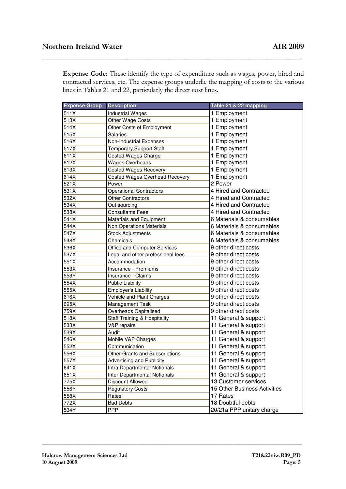Expense Code: These identify the type of expenditure such as wages, power, hired and contracted services, etc. The expense groups underlie the mapping of costs to the various lines in Tables 21 and 22, particularly the direct cost lines.

\_\_\_\_\_\_\_\_\_\_\_\_\_\_\_\_\_\_\_\_\_\_\_\_\_\_\_\_\_\_\_\_\_\_\_\_\_\_\_\_\_\_\_\_\_\_\_\_\_\_\_\_\_\_\_\_\_\_\_\_\_\_\_\_

| <b>Expense Group</b> | <b>Description</b>                      | Table 21 & 22 mapping        |
|----------------------|-----------------------------------------|------------------------------|
| 511X                 | <b>Industrial Wages</b>                 | 1 Employment                 |
| 513X                 | Other Wage Costs                        | 1 Employment                 |
| 514X                 | Other Costs of Employment               | 1 Employment                 |
| 515X                 | Salaries                                | 1 Employment                 |
| 516X                 | Non-Industrial Expenses                 | 1 Employment                 |
| 517X                 | <b>Temporary Support Staff</b>          | 1 Employment                 |
| 611X                 | <b>Costed Wages Charge</b>              | 1 Employment                 |
| 612X                 | <b>Wages Overheads</b>                  | 1 Employment                 |
| 613X                 | <b>Costed Wages Recovery</b>            | 1 Employment                 |
| 614X                 | <b>Costed Wages Overhead Recovery</b>   | 1 Employment                 |
| 521X                 | Power                                   | 2 Power                      |
| 531X                 | <b>Operational Contractors</b>          | 4 Hired and Contracted       |
| 532X                 | <b>Other Contractors</b>                | 4 Hired and Contracted       |
| 534X                 | Out sourcing                            | 4 Hired and Contracted       |
| 538X                 | <b>Consultants Fees</b>                 | 4 Hired and Contracted       |
| 541X                 | Materials and Equipment                 | 6 Materials & consumables    |
| 544X                 | <b>Non Operations Materials</b>         | 6 Materials & consumables    |
| 547X                 | <b>Stock Adjustments</b>                | 6 Materials & consumables    |
| 548X                 | Chemicals                               | 6 Materials & consumables    |
| 536X                 | Office and Computer Services            | 9 other direct costs         |
| 537X                 | Legal and other professional fees       | 9 other direct costs         |
| 551X                 | Accommodation                           | 9 other direct costs         |
| 553X                 | Insurance - Premiums                    | 9 other direct costs         |
| 553Y                 | Insurance - Claims                      | 9 other direct costs         |
| 554X                 | <b>Public Liability</b>                 | 9 other direct costs         |
| 555X                 | <b>Employer's Liability</b>             | 9 other direct costs         |
| 616X                 | Vehicle and Plant Charges               | 9 other direct costs         |
| 695X                 | Management Task                         | 9 other direct costs         |
| 759X                 | Overheads Capitalised                   | 9 other direct costs         |
| 518X                 | <b>Staff Training &amp; Hospitality</b> | 11 General & support         |
| 533X                 | V&P repairs                             | 11 General & support         |
| 539X                 | Audit                                   | 11 General & support         |
| 546X                 | Mobile V&P Charges                      | 11 General & support         |
| 552X                 | Communication                           | 11 General & support         |
| 556X                 | Other Grants and Subscriptions          | 11 General & support         |
| 557X                 | <b>Advertising and Publicity</b>        | 11 General & support         |
| 641X                 | Intra Departmental Notionals            | 11 General & support         |
| 651X                 | Inter Departmental Notionals            | 11 General & support         |
| 775X                 | Discount Allowed                        | 13 Customer services         |
| 556Y                 | <b>Regulatory Costs</b>                 | 15 Other Business Activities |
| 558X                 | Rates                                   | 17 Rates                     |
| 772X                 | <b>Bad Debts</b>                        | 18 Doubtful debts            |
| 534Y                 | <b>PPP</b>                              | 20/21a PPP unitary charge    |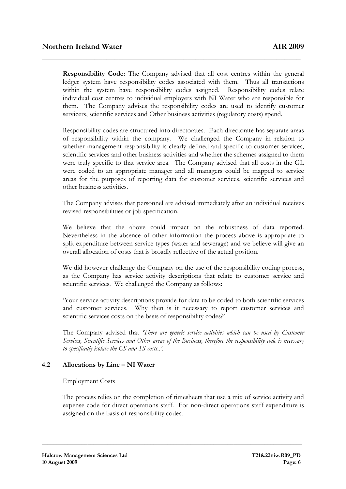Responsibility Code: The Company advised that all cost centres within the general ledger system have responsibility codes associated with them. Thus all transactions within the system have responsibility codes assigned. Responsibility codes relate individual cost centres to individual employers with NI Water who are responsible for them. The Company advises the responsibility codes are used to identify customer servicers, scientific services and Other business activities (regulatory costs) spend.

\_\_\_\_\_\_\_\_\_\_\_\_\_\_\_\_\_\_\_\_\_\_\_\_\_\_\_\_\_\_\_\_\_\_\_\_\_\_\_\_\_\_\_\_\_\_\_\_\_\_\_\_\_\_\_\_\_\_\_\_\_\_\_\_

Responsibility codes are structured into directorates. Each directorate has separate areas of responsibility within the company. We challenged the Company in relation to whether management responsibility is clearly defined and specific to customer services, scientific services and other business activities and whether the schemes assigned to them were truly specific to that service area. The Company advised that all costs in the GL were coded to an appropriate manager and all managers could be mapped to service areas for the purposes of reporting data for customer services, scientific services and other business activities.

The Company advises that personnel are advised immediately after an individual receives revised responsibilities or job specification.

We believe that the above could impact on the robustness of data reported. Nevertheless in the absence of other information the process above is appropriate to split expenditure between service types (water and sewerage) and we believe will give an overall allocation of costs that is broadly reflective of the actual position.

We did however challenge the Company on the use of the responsibility coding process, as the Company has service activity descriptions that relate to customer service and scientific services. We challenged the Company as follows:

'Your service activity descriptions provide for data to be coded to both scientific services and customer services. Why then is it necessary to report customer services and scientific services costs on the basis of responsibility codes?'

The Company advised that There are generic service activities which can be used by Customer Services, Scientific Services and Other areas of the Business, therefore the responsibility code is necessary to specifically isolate the CS and SS costs..'.

# 4.2 Allocations by Line – NI Water

### Employment Costs

The process relies on the completion of timesheets that use a mix of service activity and expense code for direct operations staff. For non-direct operations staff expenditure is assigned on the basis of responsibility codes.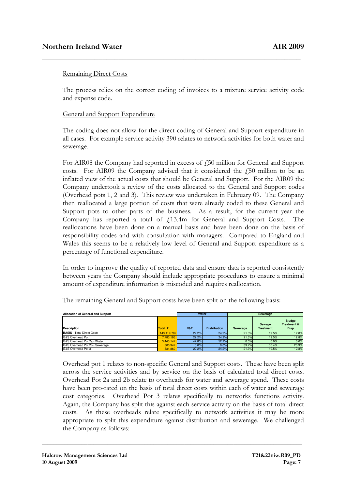# Remaining Direct Costs

The process relies on the correct coding of invoices to a mixture service activity code and expense code.

\_\_\_\_\_\_\_\_\_\_\_\_\_\_\_\_\_\_\_\_\_\_\_\_\_\_\_\_\_\_\_\_\_\_\_\_\_\_\_\_\_\_\_\_\_\_\_\_\_\_\_\_\_\_\_\_\_\_\_\_\_\_\_\_

# General and Support Expenditure

The coding does not allow for the direct coding of General and Support expenditure in all cases. For example service activity 390 relates to network activities for both water and sewerage.

For AIR08 the Company had reported in excess of  $f$ 50 million for General and Support costs. For AIR09 the Company advised that it considered the  $f$ 50 million to be an inflated view of the actual costs that should be General and Support. For the AIR09 the Company undertook a review of the costs allocated to the General and Support codes (Overhead pots 1, 2 and 3). This review was undertaken in February 09. The Company then reallocated a large portion of costs that were already coded to these General and Support pots to other parts of the business. As a result, for the current year the Company has reported a total of £13.4m for General and Support Costs. The reallocations have been done on a manual basis and have been done on the basis of responsibility codes and with consultation with managers. Compared to England and Wales this seems to be a relatively low level of General and Support expenditure as a percentage of functional expenditure.

In order to improve the quality of reported data and ensure data is reported consistently between years the Company should include appropriate procedures to ensure a minimal amount of expenditure information is miscoded and requires reallocation.

| Allocation of General and Support | Water       |                | Sewerage            |                 |                            |                                                 |
|-----------------------------------|-------------|----------------|---------------------|-----------------|----------------------------|-------------------------------------------------|
| <b>Description</b>                | Total £     | <b>R&amp;T</b> | <b>Distribution</b> | <b>Sewerage</b> | Sewage<br><b>Treatment</b> | Sludge<br><b>Treatment &amp;</b><br><b>Disp</b> |
| <b>BASIS</b> - Total Direct Costs | 143.419.702 | 22.2%          | 24.2%               | 21.3%           | 19.5%                      | 12.8%                                           |
| G&S Overhead Pot 1                | 7.783.193   | 22.2%          | 24.2%               | 21.3%           | 19.5%                      | 12.8%                                           |
| G&S Overhead Pot 2a - Water       | 3.443.147   | 47.8%          | 52.2%               | 0.0%            | 0.0%                       | 0.0%                                            |
| G&S Overhead Pot 2b - Sewerage    | 300.947     | 0.0%           | 0.0%                | 39.7%           | 36.4%                      | 23.9%                                           |
| G&S Overhead Pot 3                | 531.869     | 22.2%          | 24.2%               | 21.3%           | 19.5%                      | 12.8%                                           |

The remaining General and Support costs have been split on the following basis:

Overhead pot 1 relates to non-specific General and Support costs. These have been split across the service activities and by service on the basis of calculated total direct costs. Overhead Pot 2a and 2b relate to overheads for water and sewerage spend. These costs have been pro-rated on the basis of total direct costs within each of water and sewerage cost categories. Overhead Pot 3 relates specifically to networks functions activity. Again, the Company has split this against each service activity on the basis of total direct costs. As these overheads relate specifically to network activities it may be more appropriate to split this expenditure against distribution and sewerage. We challenged the Company as follows: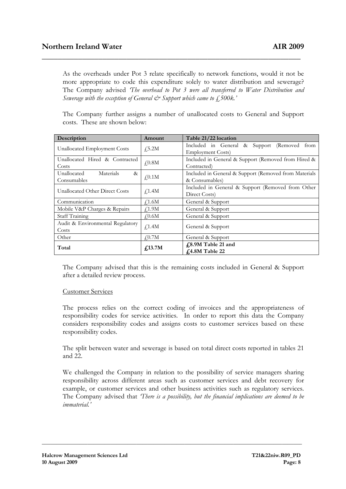As the overheads under Pot 3 relate specifically to network functions, would it not be more appropriate to code this expenditure solely to water distribution and sewerage? The Company advised 'The overhead to Pot 3 were all transferred to Water Distribution and Sewerage with the exception of General  $\dot{\mathcal{C}}^s$  Support which came to  $\oint_{\mathcal{C}}$ , 500k.'

\_\_\_\_\_\_\_\_\_\_\_\_\_\_\_\_\_\_\_\_\_\_\_\_\_\_\_\_\_\_\_\_\_\_\_\_\_\_\_\_\_\_\_\_\_\_\_\_\_\_\_\_\_\_\_\_\_\_\_\_\_\_\_\_

The Company further assigns a number of unallocated costs to General and Support costs. These are shown below:

| Description                                     | Amount               | Table 21/22 location                                                       |  |  |  |
|-------------------------------------------------|----------------------|----------------------------------------------------------------------------|--|--|--|
| Unallocated Employment Costs                    | $f_{2}5.2M$          | Included in General & Support (Removed<br>from<br><b>Employment Costs)</b> |  |  |  |
| Unallocated Hired & Contracted<br>Costs         | $f$ <sub>0.8</sub> M | Included in General & Support (Removed from Hired &<br>Contracted)         |  |  |  |
| Materials<br>Unallocated<br>$\&$<br>Consumables | $f$ <sub>0.1</sub> M | Included in General & Support (Removed from Materials<br>& Consumables)    |  |  |  |
| Unallocated Other Direct Costs                  | $f$ <sub>1.4</sub> M | Included in General & Support (Removed from Other<br>Direct Costs)         |  |  |  |
| Communication                                   | $\sqrt{1.6M}$        | General & Support                                                          |  |  |  |
| Mobile V&P Charges & Repairs                    | $\textup{f}1.9M$     | General & Support                                                          |  |  |  |
| Staff Training                                  | $f_{0.6M}$           | General & Support                                                          |  |  |  |
| Audit & Environmental Regulatory<br>Costs       | f <sub>1.4M</sub>    | General & Support                                                          |  |  |  |
| Other                                           | $f_{.0.7M}$          | General & Support                                                          |  |  |  |
| Total                                           | f <sub>13.7M</sub>   | £8.9M Table 21 and<br>£4.8M Table 22                                       |  |  |  |

The Company advised that this is the remaining costs included in General & Support after a detailed review process.

### Customer Services

The process relies on the correct coding of invoices and the appropriateness of responsibility codes for service activities. In order to report this data the Company considers responsibility codes and assigns costs to customer services based on these responsibility codes.

The split between water and sewerage is based on total direct costs reported in tables 21 and 22.

We challenged the Company in relation to the possibility of service managers sharing responsibility across different areas such as customer services and debt recovery for example, or customer services and other business activities such as regulatory services. The Company advised that *There is a possibility, but the financial implications are deemed to be* immaterial<sup>'</sup>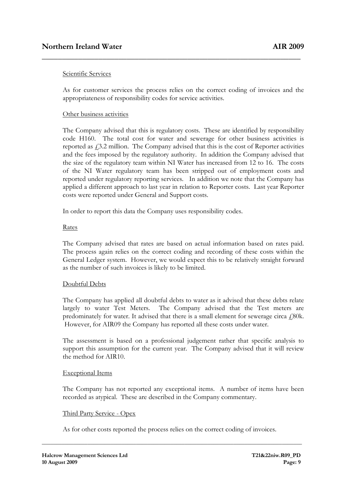# Scientific Services

As for customer services the process relies on the correct coding of invoices and the appropriateness of responsibility codes for service activities.

\_\_\_\_\_\_\_\_\_\_\_\_\_\_\_\_\_\_\_\_\_\_\_\_\_\_\_\_\_\_\_\_\_\_\_\_\_\_\_\_\_\_\_\_\_\_\_\_\_\_\_\_\_\_\_\_\_\_\_\_\_\_\_\_

### Other business activities

The Company advised that this is regulatory costs. These are identified by responsibility code H160. The total cost for water and sewerage for other business activities is reported as  $f$ , 3.2 million. The Company advised that this is the cost of Reporter activities and the fees imposed by the regulatory authority. In addition the Company advised that the size of the regulatory team within NI Water has increased from 12 to 16. The costs of the NI Water regulatory team has been stripped out of employment costs and reported under regulatory reporting services. In addition we note that the Company has applied a different approach to last year in relation to Reporter costs. Last year Reporter costs were reported under General and Support costs.

In order to report this data the Company uses responsibility codes.

#### Rates

The Company advised that rates are based on actual information based on rates paid. The process again relies on the correct coding and recording of these costs within the General Ledger system. However, we would expect this to be relatively straight forward as the number of such invoices is likely to be limited.

### Doubtful Debts

The Company has applied all doubtful debts to water as it advised that these debts relate largely to water Test Meters. The Company advised that the Test meters are predominately for water. It advised that there is a small element for sewerage circa  $\ell$ 80k. However, for AIR09 the Company has reported all these costs under water.

The assessment is based on a professional judgement rather that specific analysis to support this assumption for the current year. The Company advised that it will review the method for AIR10.

### Exceptional Items

The Company has not reported any exceptional items. A number of items have been recorded as atypical. These are described in the Company commentary.

### Third Party Service - Opex

As for other costs reported the process relies on the correct coding of invoices.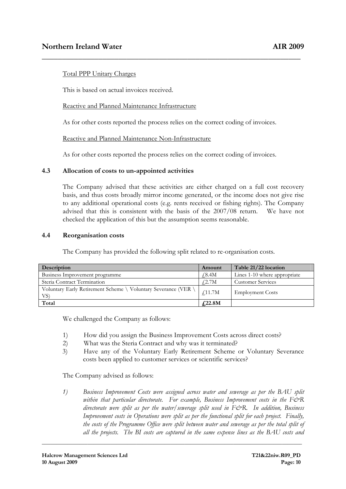# Total PPP Unitary Charges

This is based on actual invoices received.

# Reactive and Planned Maintenance Infrastructure

As for other costs reported the process relies on the correct coding of invoices.

\_\_\_\_\_\_\_\_\_\_\_\_\_\_\_\_\_\_\_\_\_\_\_\_\_\_\_\_\_\_\_\_\_\_\_\_\_\_\_\_\_\_\_\_\_\_\_\_\_\_\_\_\_\_\_\_\_\_\_\_\_\_\_\_

Reactive and Planned Maintenance Non-Infrastructure

As for other costs reported the process relies on the correct coding of invoices.

# 4.3 Allocation of costs to un-appointed activities

The Company advised that these activities are either charged on a full cost recovery basis, and thus costs broadly mirror income generated, or the income does not give rise to any additional operational costs (e.g. rents received or fishing rights). The Company advised that this is consistent with the basis of the 2007/08 return. We have not checked the application of this but the assumption seems reasonable.

### 4.4 Reorganisation costs

The Company has provided the following split related to re-organisation costs.

| Description                                                           | Amount               | Table 21/22 location         |
|-----------------------------------------------------------------------|----------------------|------------------------------|
| Business Improvement programme                                        | ∫8.4M                | Lines 1-10 where appropriate |
| Steria Contract Termination                                           | 42.7M                | <b>Customer Services</b>     |
| Voluntary Early Retirement Scheme \ Voluntary Severance (VER \<br>VS) | $\sqrt{11.7M}$       | <b>Employment Costs</b>      |
| Total                                                                 | f <sub>1</sub> 22.8M |                              |

We challenged the Company as follows:

- 1) How did you assign the Business Improvement Costs across direct costs?
- 2) What was the Steria Contract and why was it terminated?
- 3) Have any of the Voluntary Early Retirement Scheme or Voluntary Severance costs been applied to customer services or scientific services?

The Company advised as follows:

1) Business Improvement Costs were assigned across water and sewerage as per the BAU split within that particular directorate. For example, Business Improvement costs in the  $F\acute{c}R$ directorate were split as per the water/sewerage split used in  $F\acute{\c{c}}$ R. In addition, Business Improvement costs in Operations were split as per the functional split for each project. Finally, the costs of the Programme Office were split between water and sewerage as per the total split of all the projects. The BI costs are captured in the same expense lines as the BAU costs and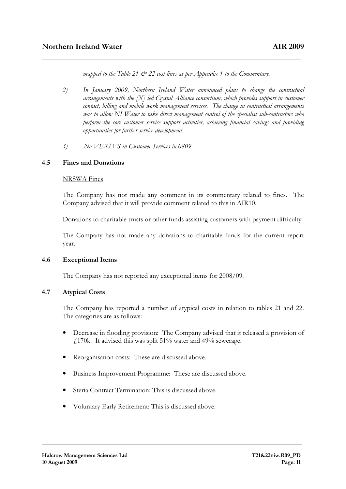mapped to the Table 21  $\mathcal{O}$  22 cost lines as per Appendix 1 to the Commentary.

\_\_\_\_\_\_\_\_\_\_\_\_\_\_\_\_\_\_\_\_\_\_\_\_\_\_\_\_\_\_\_\_\_\_\_\_\_\_\_\_\_\_\_\_\_\_\_\_\_\_\_\_\_\_\_\_\_\_\_\_\_\_\_\_

- 2) In January 2009, Northern Ireland Water announced plans to change the contractual arrangements with the  $|X|$  led Crystal Alliance consortium, which provides support in customer contact, billing and mobile work management services. The change in contractual arrangements was to allow NI Water to take direct management control of the specialist sub-contractors who perform the core customer service support activities, achieving financial savings and providing opportunities for further service development.
- 3) No VER/VS in Customer Services in 0809

# 4.5 Fines and Donations

### NRSWA Fines

The Company has not made any comment in its commentary related to fines. The Company advised that it will provide comment related to this in AIR10.

Donations to charitable trusts or other funds assisting customers with payment difficulty

The Company has not made any donations to charitable funds for the current report year.

### 4.6 Exceptional Items

The Company has not reported any exceptional items for 2008/09.

# 4.7 Atypical Costs

The Company has reported a number of atypical costs in relation to tables 21 and 22. The categories are as follows:

- Decrease in flooding provision: The Company advised that it released a provision of  $£170k.$  It advised this was split 51% water and 49% sewerage.
- Reorganisation costs: These are discussed above.
- Business Improvement Programme: These are discussed above.

- Steria Contract Termination: This is discussed above.
- Voluntary Early Retirement: This is discussed above.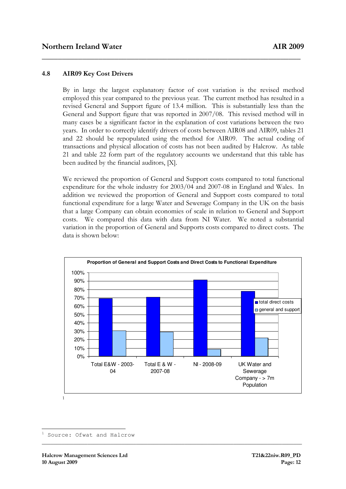# 4.8 AIR09 Key Cost Drivers

By in large the largest explanatory factor of cost variation is the revised method employed this year compared to the previous year. The current method has resulted in a revised General and Support figure of 13.4 million. This is substantially less than the General and Support figure that was reported in 2007/08. This revised method will in many cases be a significant factor in the explanation of cost variations between the two years. In order to correctly identify drivers of costs between AIR08 and AIR09, tables 21 and 22 should be repopulated using the method for AIR09. The actual coding of transactions and physical allocation of costs has not been audited by Halcrow. As table 21 and table 22 form part of the regulatory accounts we understand that this table has been audited by the financial auditors, [X].

\_\_\_\_\_\_\_\_\_\_\_\_\_\_\_\_\_\_\_\_\_\_\_\_\_\_\_\_\_\_\_\_\_\_\_\_\_\_\_\_\_\_\_\_\_\_\_\_\_\_\_\_\_\_\_\_\_\_\_\_\_\_\_\_

We reviewed the proportion of General and Support costs compared to total functional expenditure for the whole industry for 2003/04 and 2007-08 in England and Wales. In addition we reviewed the proportion of General and Support costs compared to total functional expenditure for a large Water and Sewerage Company in the UK on the basis that a large Company can obtain economies of scale in relation to General and Support costs. We compared this data with data from NI Water. We noted a substantial variation in the proportion of General and Supports costs compared to direct costs. The data is shown below:



**\_\_\_\_\_\_\_\_\_\_\_\_\_\_\_\_\_\_\_\_\_\_\_\_\_\_\_\_\_\_\_\_\_\_\_\_\_\_\_\_\_\_\_\_\_\_\_\_\_\_\_\_\_\_\_\_\_\_\_\_\_\_\_\_\_\_\_\_\_\_\_\_\_\_\_\_\_\_\_\_\_\_\_\_\_\_\_\_\_\_\_** 

Source: Ofwat and Halcrow

 $\overline{a}$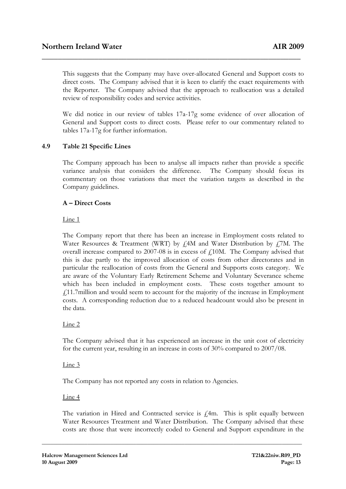This suggests that the Company may have over-allocated General and Support costs to direct costs. The Company advised that it is keen to clarify the exact requirements with the Reporter. The Company advised that the approach to reallocation was a detailed review of responsibility codes and service activities.

\_\_\_\_\_\_\_\_\_\_\_\_\_\_\_\_\_\_\_\_\_\_\_\_\_\_\_\_\_\_\_\_\_\_\_\_\_\_\_\_\_\_\_\_\_\_\_\_\_\_\_\_\_\_\_\_\_\_\_\_\_\_\_\_

We did notice in our review of tables 17a-17g some evidence of over allocation of General and Support costs to direct costs. Please refer to our commentary related to tables 17a-17g for further information.

# 4.9 Table 21 Specific Lines

The Company approach has been to analyse all impacts rather than provide a specific variance analysis that considers the difference. The Company should focus its commentary on those variations that meet the variation targets as described in the Company guidelines.

# A – Direct Costs

Line 1

The Company report that there has been an increase in Employment costs related to Water Resources & Treatment (WRT) by  $f<sub>i</sub>4M$  and Water Distribution by  $f<sub>i</sub>7M$ . The overall increase compared to 2007-08 is in excess of  $f$ 10M. The Company advised that this is due partly to the improved allocation of costs from other directorates and in particular the reallocation of costs from the General and Supports costs category. We are aware of the Voluntary Early Retirement Scheme and Voluntary Severance scheme which has been included in employment costs. These costs together amount to £11.7million and would seem to account for the majority of the increase in Employment costs. A corresponding reduction due to a reduced headcount would also be present in the data.

### Line 2

The Company advised that it has experienced an increase in the unit cost of electricity for the current year, resulting in an increase in costs of 30% compared to 2007/08.

### Line 3

The Company has not reported any costs in relation to Agencies.

### Line 4

The variation in Hired and Contracted service is  $f$ <sub>4</sub>m. This is split equally between Water Resources Treatment and Water Distribution. The Company advised that these costs are those that were incorrectly coded to General and Support expenditure in the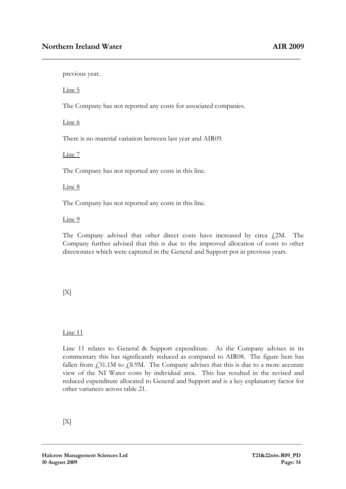previous year.

Line 5

The Company has not reported any costs for associated companies.

\_\_\_\_\_\_\_\_\_\_\_\_\_\_\_\_\_\_\_\_\_\_\_\_\_\_\_\_\_\_\_\_\_\_\_\_\_\_\_\_\_\_\_\_\_\_\_\_\_\_\_\_\_\_\_\_\_\_\_\_\_\_\_\_

Line 6

There is no material variation between last year and AIR09.

Line 7

The Company has not reported any costs in this line.

#### Line 8

The Company has not reported any costs in this line.

Line 9

The Company advised that other direct costs have increased by circa  $f$ 2M. The Company further advised that this is due to the improved allocation of costs to other directorates which were captured in the General and Support pot in previous years.

 $[X]$ 

Line 11

Line 11 relates to General & Support expenditure. As the Company advises in its commentary this has significantly reduced as compared to AIR08. The figure here has fallen from  $\text{\emph{f}}31.1\text{M}$  to  $\text{\emph{f}}8.9\text{M}$ . The Company advises that this is due to a more accurate view of the NI Water costs by individual area. This has resulted in the revised and reduced expenditure allocated to General and Support and is a key explanatory factor for other variances across table 21.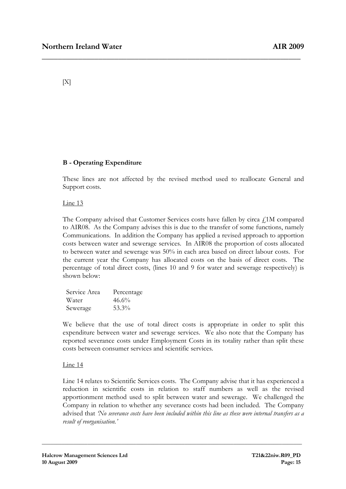$[X]$ 

# B - Operating Expenditure

These lines are not affected by the revised method used to reallocate General and Support costs.

\_\_\_\_\_\_\_\_\_\_\_\_\_\_\_\_\_\_\_\_\_\_\_\_\_\_\_\_\_\_\_\_\_\_\_\_\_\_\_\_\_\_\_\_\_\_\_\_\_\_\_\_\_\_\_\_\_\_\_\_\_\_\_\_

# Line 13

The Company advised that Customer Services costs have fallen by circa  $f_1$ 1M compared to AIR08. As the Company advises this is due to the transfer of some functions, namely Communications. In addition the Company has applied a revised approach to apportion costs between water and sewerage services. In AIR08 the proportion of costs allocated to between water and sewerage was 50% in each area based on direct labour costs. For the current year the Company has allocated costs on the basis of direct costs. The percentage of total direct costs, (lines 10 and 9 for water and sewerage respectively) is shown below:

| Service Area | Percentage |
|--------------|------------|
| Water        | 46.6%      |
| Sewerage     | $53.3\%$   |

We believe that the use of total direct costs is appropriate in order to split this expenditure between water and sewerage services. We also note that the Company has reported severance costs under Employment Costs in its totality rather than split these costs between consumer services and scientific services.

# Line 14

Line 14 relates to Scientific Services costs. The Company advise that it has experienced a reduction in scientific costs in relation to staff numbers as well as the revised apportionment method used to split between water and sewerage. We challenged the Company in relation to whether any severance costs had been included. The Company advised that 'No severance costs have been included within this line as these were internal transfers as a result of reorganisation.'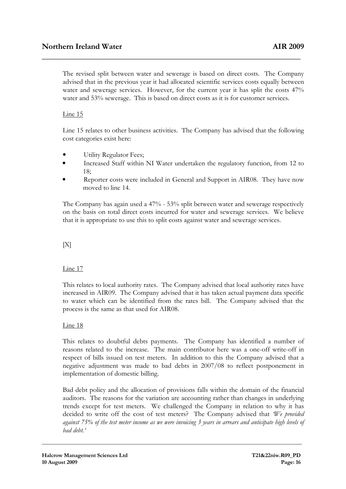The revised split between water and sewerage is based on direct costs. The Company advised that in the previous year it had allocated scientific services costs equally between water and sewerage services. However, for the current year it has split the costs 47% water and 53% sewerage. This is based on direct costs as it is for customer services.

\_\_\_\_\_\_\_\_\_\_\_\_\_\_\_\_\_\_\_\_\_\_\_\_\_\_\_\_\_\_\_\_\_\_\_\_\_\_\_\_\_\_\_\_\_\_\_\_\_\_\_\_\_\_\_\_\_\_\_\_\_\_\_\_

# Line 15

Line 15 relates to other business activities. The Company has advised that the following cost categories exist here:

- Utility Regulator Fees;
- Increased Staff within NI Water undertaken the regulatory function, from 12 to 18;
- Reporter costs were included in General and Support in AIR08. They have now moved to line 14.

The Company has again used a 47% - 53% split between water and sewerage respectively on the basis on total direct costs incurred for water and sewerage services. We believe that it is appropriate to use this to split costs against water and sewerage services.

 $[X]$ 

### Line 17

This relates to local authority rates. The Company advised that local authority rates have increased in AIR09. The Company advised that it has taken actual payment data specific to water which can be identified from the rates bill. The Company advised that the process is the same as that used for AIR08.

### Line 18

This relates to doubtful debts payments. The Company has identified a number of reasons related to the increase. The main contributor here was a one-off write-off in respect of bills issued on test meters. In addition to this the Company advised that a negative adjustment was made to bad debts in 2007/08 to reflect postponement in implementation of domestic billing.

Bad debt policy and the allocation of provisions falls within the domain of the financial auditors. The reasons for the variation are accounting rather than changes in underlying trends except for test meters. We challenged the Company in relation to why it has decided to write off the cost of test meters? The Company advised that 'We provided against 75% of the test meter income as we were invoicing 3 years in arrears and anticipate high levels of bad debt.'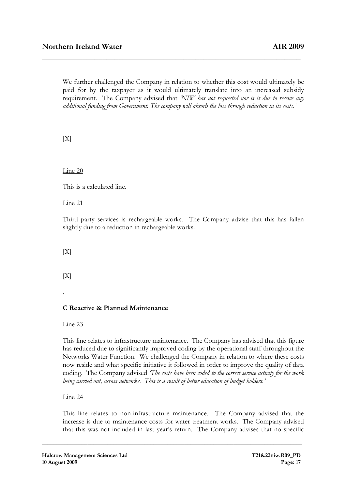We further challenged the Company in relation to whether this cost would ultimately be paid for by the taxpayer as it would ultimately translate into an increased subsidy requirement. The Company advised that 'NIW has not requested nor is it due to receive any additional funding from Government. The company will absorb the loss through reduction in its costs.'

\_\_\_\_\_\_\_\_\_\_\_\_\_\_\_\_\_\_\_\_\_\_\_\_\_\_\_\_\_\_\_\_\_\_\_\_\_\_\_\_\_\_\_\_\_\_\_\_\_\_\_\_\_\_\_\_\_\_\_\_\_\_\_\_

 $[X]$ 

Line 20

This is a calculated line.

Line 21

Third party services is rechargeable works. The Company advise that this has fallen slightly due to a reduction in rechargeable works.

 $[X]$ 

 $[X]$ 

.

# C Reactive & Planned Maintenance

Line 23

This line relates to infrastructure maintenance. The Company has advised that this figure has reduced due to significantly improved coding by the operational staff throughout the Networks Water Function. We challenged the Company in relation to where these costs now reside and what specific initiative it followed in order to improve the quality of data coding. The Company advised The costs have been coded to the correct service activity for the work being carried out, across networks. This is a result of better education of budget holders.'

Line 24

This line relates to non-infrastructure maintenance. The Company advised that the increase is due to maintenance costs for water treatment works. The Company advised that this was not included in last year's return. The Company advises that no specific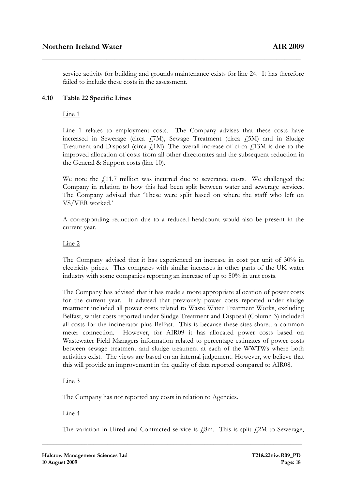service activity for building and grounds maintenance exists for line 24. It has therefore failed to include these costs in the assessment.

\_\_\_\_\_\_\_\_\_\_\_\_\_\_\_\_\_\_\_\_\_\_\_\_\_\_\_\_\_\_\_\_\_\_\_\_\_\_\_\_\_\_\_\_\_\_\_\_\_\_\_\_\_\_\_\_\_\_\_\_\_\_\_\_

# 4.10 Table 22 Specific Lines

Line 1

Line 1 relates to employment costs. The Company advises that these costs have increased in Sewerage (circa  $f(7)$ M), Sewage Treatment (circa  $f(5)$ M) and in Sludge Treatment and Disposal (circa  $f<sub>1</sub>1M$ ). The overall increase of circa  $f<sub>1</sub>13M$  is due to the improved allocation of costs from all other directorates and the subsequent reduction in the General & Support costs (line 10).

We note the  $f<sub>i</sub>11.7$  million was incurred due to severance costs. We challenged the Company in relation to how this had been split between water and sewerage services. The Company advised that 'These were split based on where the staff who left on VS/VER worked.'

A corresponding reduction due to a reduced headcount would also be present in the current year.

# Line 2

The Company advised that it has experienced an increase in cost per unit of 30% in electricity prices. This compares with similar increases in other parts of the UK water industry with some companies reporting an increase of up to 50% in unit costs.

The Company has advised that it has made a more appropriate allocation of power costs for the current year. It advised that previously power costs reported under sludge treatment included all power costs related to Waste Water Treatment Works, excluding Belfast, whilst costs reported under Sludge Treatment and Disposal (Column 3) included all costs for the incinerator plus Belfast. This is because these sites shared a common meter connection. However, for AIR09 it has allocated power costs based on Wastewater Field Managers information related to percentage estimates of power costs between sewage treatment and sludge treatment at each of the WWTWs where both activities exist. The views are based on an internal judgement. However, we believe that this will provide an improvement in the quality of data reported compared to AIR08.

# Line 3

The Company has not reported any costs in relation to Agencies.

### Line 4

The variation in Hired and Contracted service is  $\ell$ 8m. This is split  $\ell$ 2M to Sewerage,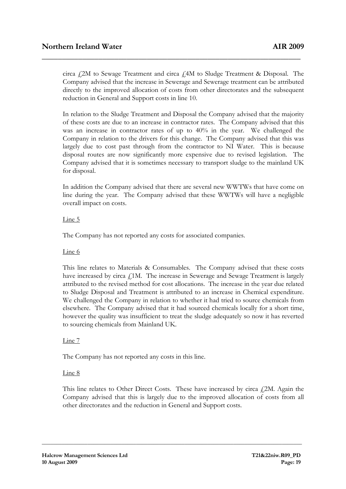circa £2M to Sewage Treatment and circa £4M to Sludge Treatment & Disposal. The Company advised that the increase in Sewerage and Sewerage treatment can be attributed directly to the improved allocation of costs from other directorates and the subsequent reduction in General and Support costs in line 10.

\_\_\_\_\_\_\_\_\_\_\_\_\_\_\_\_\_\_\_\_\_\_\_\_\_\_\_\_\_\_\_\_\_\_\_\_\_\_\_\_\_\_\_\_\_\_\_\_\_\_\_\_\_\_\_\_\_\_\_\_\_\_\_\_

In relation to the Sludge Treatment and Disposal the Company advised that the majority of these costs are due to an increase in contractor rates. The Company advised that this was an increase in contractor rates of up to 40% in the year. We challenged the Company in relation to the drivers for this change. The Company advised that this was largely due to cost past through from the contractor to NI Water. This is because disposal routes are now significantly more expensive due to revised legislation. The Company advised that it is sometimes necessary to transport sludge to the mainland UK for disposal.

In addition the Company advised that there are several new WWTWs that have come on line during the year. The Company advised that these WWTWs will have a negligible overall impact on costs.

# Line 5

The Company has not reported any costs for associated companies.

# Line 6

This line relates to Materials & Consumables. The Company advised that these costs have increased by circa  $f_1$ 1M. The increase in Sewerage and Sewage Treatment is largely attributed to the revised method for cost allocations. The increase in the year due related to Sludge Disposal and Treatment is attributed to an increase in Chemical expenditure. We challenged the Company in relation to whether it had tried to source chemicals from elsewhere. The Company advised that it had sourced chemicals locally for a short time, however the quality was insufficient to treat the sludge adequately so now it has reverted to sourcing chemicals from Mainland UK.

### Line 7

The Company has not reported any costs in this line.

### Line 8

This line relates to Other Direct Costs. These have increased by circa  $f2M$ . Again the Company advised that this is largely due to the improved allocation of costs from all other directorates and the reduction in General and Support costs.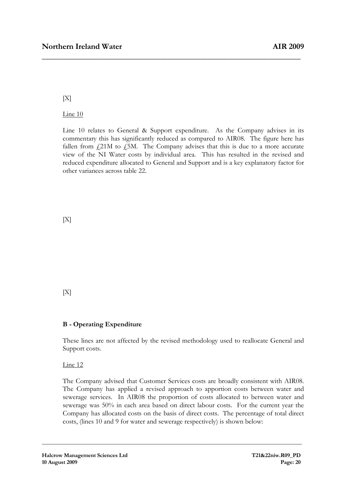$[X]$ 

Line 10

Line 10 relates to General & Support expenditure. As the Company advises in its commentary this has significantly reduced as compared to AIR08. The figure here has fallen from  $f_1/21M$  to  $f_2/5M$ . The Company advises that this is due to a more accurate view of the NI Water costs by individual area. This has resulted in the revised and reduced expenditure allocated to General and Support and is a key explanatory factor for other variances across table 22.

\_\_\_\_\_\_\_\_\_\_\_\_\_\_\_\_\_\_\_\_\_\_\_\_\_\_\_\_\_\_\_\_\_\_\_\_\_\_\_\_\_\_\_\_\_\_\_\_\_\_\_\_\_\_\_\_\_\_\_\_\_\_\_\_

 $[X]$ 

 $[X]$ 

# B - Operating Expenditure

These lines are not affected by the revised methodology used to reallocate General and Support costs.

Line 12

The Company advised that Customer Services costs are broadly consistent with AIR08. The Company has applied a revised approach to apportion costs between water and sewerage services. In AIR08 the proportion of costs allocated to between water and sewerage was 50% in each area based on direct labour costs. For the current year the Company has allocated costs on the basis of direct costs. The percentage of total direct costs, (lines 10 and 9 for water and sewerage respectively) is shown below: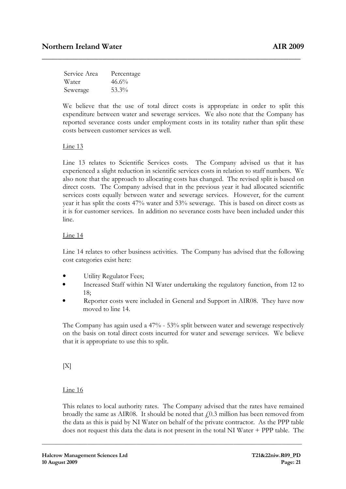| Service Area | Percentage |
|--------------|------------|
| Water        | 46.6%      |
| Sewerage     | 53.3%      |

We believe that the use of total direct costs is appropriate in order to split this expenditure between water and sewerage services. We also note that the Company has reported severance costs under employment costs in its totality rather than split these costs between customer services as well.

\_\_\_\_\_\_\_\_\_\_\_\_\_\_\_\_\_\_\_\_\_\_\_\_\_\_\_\_\_\_\_\_\_\_\_\_\_\_\_\_\_\_\_\_\_\_\_\_\_\_\_\_\_\_\_\_\_\_\_\_\_\_\_\_

### Line 13

Line 13 relates to Scientific Services costs. The Company advised us that it has experienced a slight reduction in scientific services costs in relation to staff numbers. We also note that the approach to allocating costs has changed. The revised split is based on direct costs. The Company advised that in the previous year it had allocated scientific services costs equally between water and sewerage services. However, for the current year it has split the costs 47% water and 53% sewerage. This is based on direct costs as it is for customer services. In addition no severance costs have been included under this line.

# Line 14

Line 14 relates to other business activities. The Company has advised that the following cost categories exist here:

- Utility Regulator Fees;
- Increased Staff within NI Water undertaking the regulatory function, from 12 to 18;
- Reporter costs were included in General and Support in AIR08. They have now moved to line 14.

The Company has again used a 47% - 53% split between water and sewerage respectively on the basis on total direct costs incurred for water and sewerage services. We believe that it is appropriate to use this to split.

 $[X]$ 

### Line 16

This relates to local authority rates. The Company advised that the rates have remained broadly the same as AIR08. It should be noted that  $f(0.3)$  million has been removed from the data as this is paid by NI Water on behalf of the private contractor. As the PPP table does not request this data the data is not present in the total NI Water + PPP table. The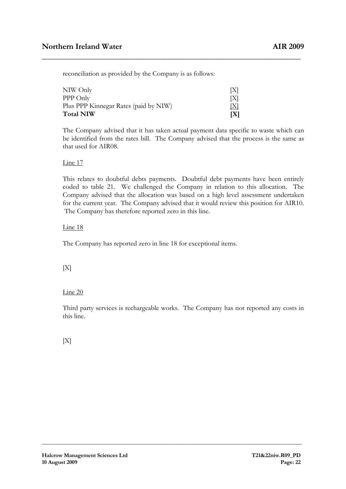reconciliation as provided by the Company is as follows:

| NIW Only                              | X                   |
|---------------------------------------|---------------------|
| PPP Only                              | X                   |
| Plus PPP Kinnegar Rates (paid by NIW) | $\lfloor X \rfloor$ |
| <b>Total NIW</b>                      | [X]                 |

The Company advised that it has taken actual payment data specific to waste which can be identified from the rates bill. The Company advised that the process is the same as that used for AIR08.

\_\_\_\_\_\_\_\_\_\_\_\_\_\_\_\_\_\_\_\_\_\_\_\_\_\_\_\_\_\_\_\_\_\_\_\_\_\_\_\_\_\_\_\_\_\_\_\_\_\_\_\_\_\_\_\_\_\_\_\_\_\_\_\_

# Line 17

This relates to doubtful debts payments. Doubtful debt payments have been entirely coded to table 21. We challenged the Company in relation to this allocation. The Company advised that the allocation was based on a high level assessment undertaken for the current year. The Company advised that it would review this position for AIR10. The Company has therefore reported zero in this line.

# Line 18

The Company has reported zero in line 18 for exceptional items.

# $[X]$

# Line 20

Third party services is rechargeable works. The Company has not reported any costs in this line.

**\_\_\_\_\_\_\_\_\_\_\_\_\_\_\_\_\_\_\_\_\_\_\_\_\_\_\_\_\_\_\_\_\_\_\_\_\_\_\_\_\_\_\_\_\_\_\_\_\_\_\_\_\_\_\_\_\_\_\_\_\_\_\_\_\_\_\_\_\_\_\_\_\_\_\_\_\_\_\_\_\_\_\_\_\_\_\_\_\_\_\_**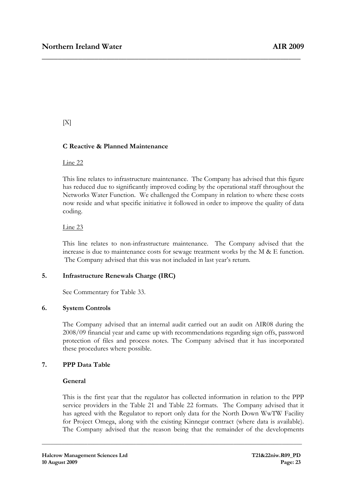# $[X]$

# C Reactive & Planned Maintenance

### Line 22

This line relates to infrastructure maintenance. The Company has advised that this figure has reduced due to significantly improved coding by the operational staff throughout the Networks Water Function. We challenged the Company in relation to where these costs now reside and what specific initiative it followed in order to improve the quality of data coding.

\_\_\_\_\_\_\_\_\_\_\_\_\_\_\_\_\_\_\_\_\_\_\_\_\_\_\_\_\_\_\_\_\_\_\_\_\_\_\_\_\_\_\_\_\_\_\_\_\_\_\_\_\_\_\_\_\_\_\_\_\_\_\_\_

# Line 23

This line relates to non-infrastructure maintenance. The Company advised that the increase is due to maintenance costs for sewage treatment works by the M & E function. The Company advised that this was not included in last year's return.

# 5. Infrastructure Renewals Charge (IRC)

See Commentary for Table 33.

# 6. System Controls

The Company advised that an internal audit carried out an audit on AIR08 during the 2008/09 financial year and came up with recommendations regarding sign offs, password protection of files and process notes. The Company advised that it has incorporated these procedures where possible.

# 7. PPP Data Table

# General

This is the first year that the regulator has collected information in relation to the PPP service providers in the Table 21 and Table 22 formats. The Company advised that it has agreed with the Regulator to report only data for the North Down WwTW Facility for Project Omega, along with the existing Kinnegar contract (where data is available). The Company advised that the reason being that the remainder of the developments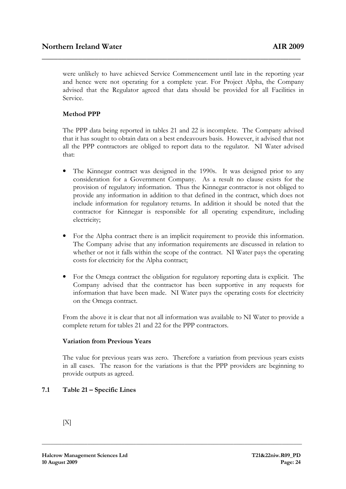were unlikely to have achieved Service Commencement until late in the reporting year and hence were not operating for a complete year. For Project Alpha, the Company advised that the Regulator agreed that data should be provided for all Facilities in Service.

\_\_\_\_\_\_\_\_\_\_\_\_\_\_\_\_\_\_\_\_\_\_\_\_\_\_\_\_\_\_\_\_\_\_\_\_\_\_\_\_\_\_\_\_\_\_\_\_\_\_\_\_\_\_\_\_\_\_\_\_\_\_\_\_

# Method PPP

The PPP data being reported in tables 21 and 22 is incomplete. The Company advised that it has sought to obtain data on a best endeavours basis. However, it advised that not all the PPP contractors are obliged to report data to the regulator. NI Water advised that:

- The Kinnegar contract was designed in the 1990s. It was designed prior to any consideration for a Government Company. As a result no clause exists for the provision of regulatory information. Thus the Kinnegar contractor is not obliged to provide any information in addition to that defined in the contract, which does not include information for regulatory returns. In addition it should be noted that the contractor for Kinnegar is responsible for all operating expenditure, including electricity;
- For the Alpha contract there is an implicit requirement to provide this information. The Company advise that any information requirements are discussed in relation to whether or not it falls within the scope of the contract. NI Water pays the operating costs for electricity for the Alpha contract;
- For the Omega contract the obligation for regulatory reporting data is explicit. The Company advised that the contractor has been supportive in any requests for information that have been made. NI Water pays the operating costs for electricity on the Omega contract.

From the above it is clear that not all information was available to NI Water to provide a complete return for tables 21 and 22 for the PPP contractors.

### Variation from Previous Years

The value for previous years was zero. Therefore a variation from previous years exists in all cases. The reason for the variations is that the PPP providers are beginning to provide outputs as agreed.

**\_\_\_\_\_\_\_\_\_\_\_\_\_\_\_\_\_\_\_\_\_\_\_\_\_\_\_\_\_\_\_\_\_\_\_\_\_\_\_\_\_\_\_\_\_\_\_\_\_\_\_\_\_\_\_\_\_\_\_\_\_\_\_\_\_\_\_\_\_\_\_\_\_\_\_\_\_\_\_\_\_\_\_\_\_\_\_\_\_\_\_** 

# 7.1 Table 21 – Specific Lines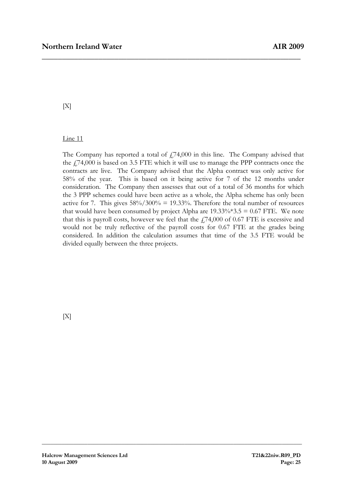# $[X]$

### Line 11

The Company has reported a total of  $f_7$ 74,000 in this line. The Company advised that the £74,000 is based on 3.5 FTE which it will use to manage the PPP contracts once the contracts are live. The Company advised that the Alpha contract was only active for 58% of the year. This is based on it being active for 7 of the 12 months under consideration. The Company then assesses that out of a total of 36 months for which the 3 PPP schemes could have been active as a whole, the Alpha scheme has only been active for 7. This gives  $58\%/300\% = 19.33\%$ . Therefore the total number of resources that would have been consumed by project Alpha are  $19.33\%*3.5 = 0.67$  FTE. We note that this is payroll costs, however we feel that the  $474,000$  of 0.67 FTE is excessive and would not be truly reflective of the payroll costs for 0.67 FTE at the grades being considered. In addition the calculation assumes that time of the 3.5 FTE would be divided equally between the three projects.

**\_\_\_\_\_\_\_\_\_\_\_\_\_\_\_\_\_\_\_\_\_\_\_\_\_\_\_\_\_\_\_\_\_\_\_\_\_\_\_\_\_\_\_\_\_\_\_\_\_\_\_\_\_\_\_\_\_\_\_\_\_\_\_\_\_\_\_\_\_\_\_\_\_\_\_\_\_\_\_\_\_\_\_\_\_\_\_\_\_\_\_** 

\_\_\_\_\_\_\_\_\_\_\_\_\_\_\_\_\_\_\_\_\_\_\_\_\_\_\_\_\_\_\_\_\_\_\_\_\_\_\_\_\_\_\_\_\_\_\_\_\_\_\_\_\_\_\_\_\_\_\_\_\_\_\_\_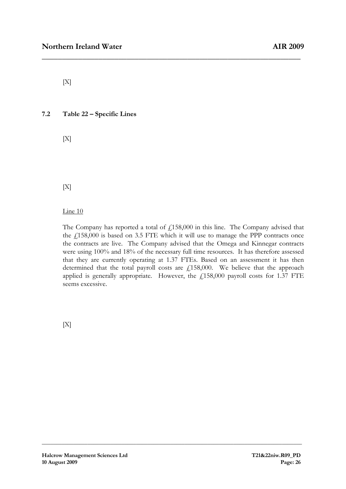$[X]$ 

7.2 Table 22 – Specific Lines

 $[X]$ 

 $[X]$ 

Line 10

The Company has reported a total of  $f<sub>1</sub>158,000$  in this line. The Company advised that the  $£158,000$  is based on 3.5 FTE which it will use to manage the PPP contracts once the contracts are live. The Company advised that the Omega and Kinnegar contracts were using 100% and 18% of the necessary full time resources. It has therefore assessed that they are currently operating at 1.37 FTEs. Based on an assessment it has then determined that the total payroll costs are  $f<sub>1</sub>158,000$ . We believe that the approach applied is generally appropriate. However, the  $f158,000$  payroll costs for 1.37 FTE seems excessive.

**\_\_\_\_\_\_\_\_\_\_\_\_\_\_\_\_\_\_\_\_\_\_\_\_\_\_\_\_\_\_\_\_\_\_\_\_\_\_\_\_\_\_\_\_\_\_\_\_\_\_\_\_\_\_\_\_\_\_\_\_\_\_\_\_\_\_\_\_\_\_\_\_\_\_\_\_\_\_\_\_\_\_\_\_\_\_\_\_\_\_\_** 

\_\_\_\_\_\_\_\_\_\_\_\_\_\_\_\_\_\_\_\_\_\_\_\_\_\_\_\_\_\_\_\_\_\_\_\_\_\_\_\_\_\_\_\_\_\_\_\_\_\_\_\_\_\_\_\_\_\_\_\_\_\_\_\_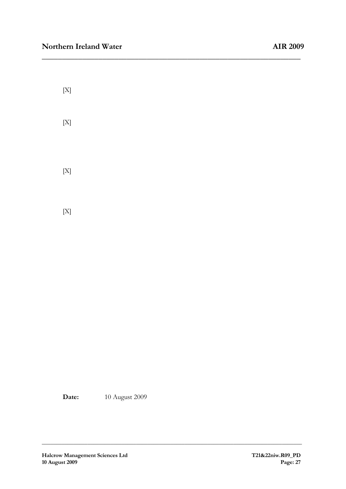| $[X]$       |  |  |  |
|-------------|--|--|--|
| $[X]$       |  |  |  |
|             |  |  |  |
| $[{\bf X}]$ |  |  |  |
|             |  |  |  |
| $[X]$       |  |  |  |

**\_\_\_\_\_\_\_\_\_\_\_\_\_\_\_\_\_\_\_\_\_\_\_\_\_\_\_\_\_\_\_\_\_\_\_\_\_\_\_\_\_\_\_\_\_\_\_\_\_\_\_\_\_\_\_\_\_\_\_\_\_\_\_\_\_\_\_\_\_\_\_\_\_\_\_\_\_\_\_\_\_\_\_\_\_\_\_\_\_\_\_** 

\_\_\_\_\_\_\_\_\_\_\_\_\_\_\_\_\_\_\_\_\_\_\_\_\_\_\_\_\_\_\_\_\_\_\_\_\_\_\_\_\_\_\_\_\_\_\_\_\_\_\_\_\_\_\_\_\_\_\_\_\_\_\_\_

Date: 10 August 2009